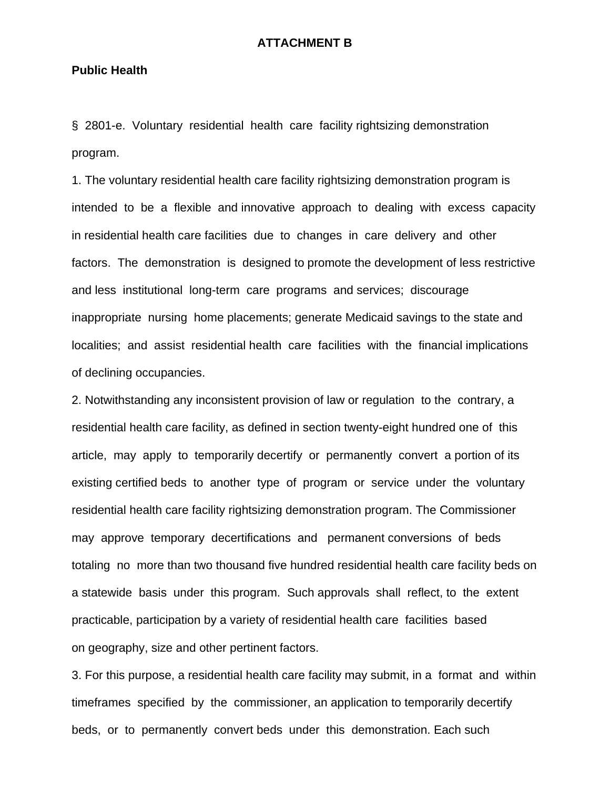## **ATTACHMENT B**

## **Public Health**

§ 2801-e. Voluntary residential health care facility rightsizing demonstration program.

1. The voluntary residential health care facility rightsizing demonstration program is intended to be a flexible and innovative approach to dealing with excess capacity in residential health care facilities due to changes in care delivery and other factors. The demonstration is designed to promote the development of less restrictive and less institutional long-term care programs and services; discourage inappropriate nursing home placements; generate Medicaid savings to the state and localities; and assist residential health care facilities with the financial implications of declining occupancies.

2. Notwithstanding any inconsistent provision of law or regulation to the contrary, a residential health care facility, as defined in section twenty-eight hundred one of this article, may apply to temporarily decertify or permanently convert a portion of its existing certified beds to another type of program or service under the voluntary residential health care facility rightsizing demonstration program. The Commissioner may approve temporary decertifications and permanent conversions of beds totaling no more than two thousand five hundred residential health care facility beds on a statewide basis under this program. Such approvals shall reflect, to the extent practicable, participation by a variety of residential health care facilities based on geography, size and other pertinent factors.

3. For this purpose, a residential health care facility may submit, in a format and within timeframes specified by the commissioner, an application to temporarily decertify beds, or to permanently convert beds under this demonstration. Each such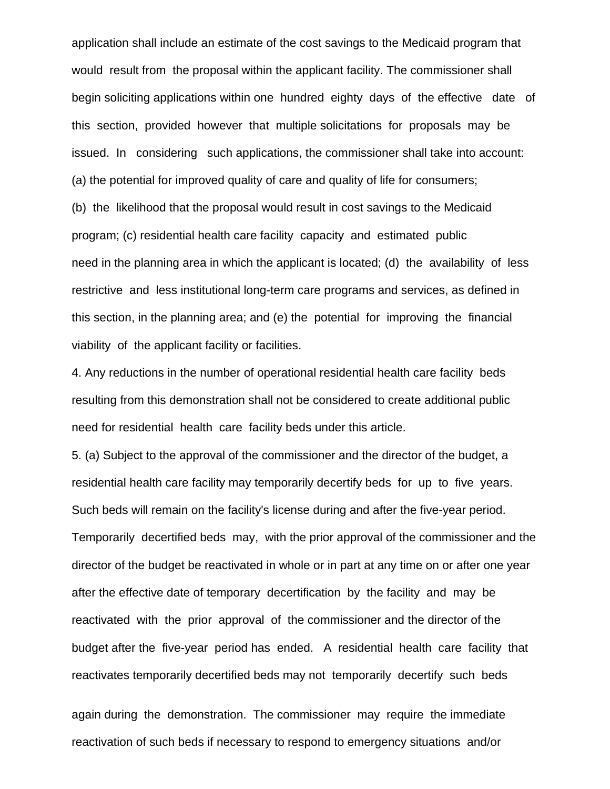application shall include an estimate of the cost savings to the Medicaid program that would result from the proposal within the applicant facility. The commissioner shall begin soliciting applications within one hundred eighty days of the effective date of this section, provided however that multiple solicitations for proposals may be issued. In considering such applications, the commissioner shall take into account: (a) the potential for improved quality of care and quality of life for consumers; (b) the likelihood that the proposal would result in cost savings to the Medicaid program; (c) residential health care facility capacity and estimated public need in the planning area in which the applicant is located; (d) the availability of less restrictive and less institutional long-term care programs and services, as defined in this section, in the planning area; and (e) the potential for improving the financial viability of the applicant facility or facilities.

4. Any reductions in the number of operational residential health care facility beds resulting from this demonstration shall not be considered to create additional public need for residential health care facility beds under this article.

5. (a) Subject to the approval of the commissioner and the director of the budget, a residential health care facility may temporarily decertify beds for up to five years. Such beds will remain on the facility's license during and after the five-year period. Temporarily decertified beds may, with the prior approval of the commissioner and the director of the budget be reactivated in whole or in part at any time on or after one year after the effective date of temporary decertification by the facility and may be reactivated with the prior approval of the commissioner and the director of the budget after the five-year period has ended. A residential health care facility that reactivates temporarily decertified beds may not temporarily decertify such beds

again during the demonstration. The commissioner may require the immediate reactivation of such beds if necessary to respond to emergency situations and/or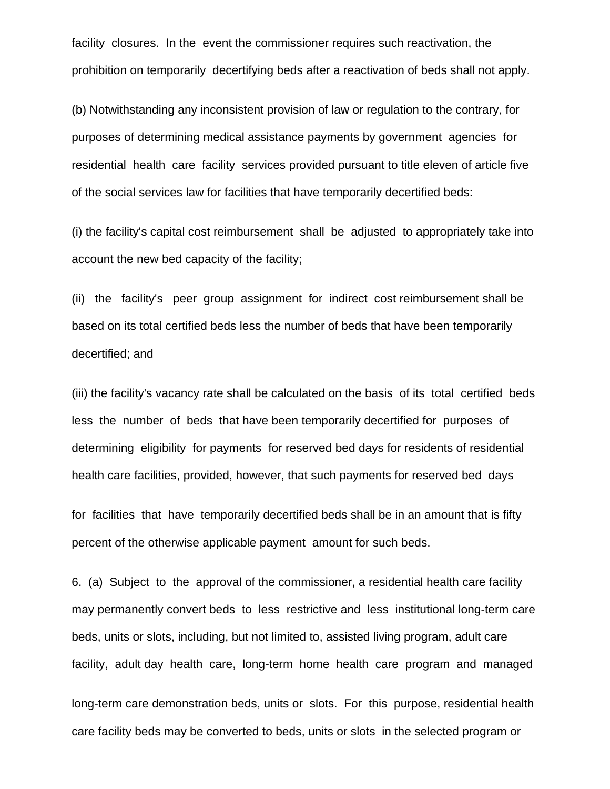facility closures. In the event the commissioner requires such reactivation, the prohibition on temporarily decertifying beds after a reactivation of beds shall not apply.

(b) Notwithstanding any inconsistent provision of law or regulation to the contrary, for purposes of determining medical assistance payments by government agencies for residential health care facility services provided pursuant to title eleven of article five of the social services law for facilities that have temporarily decertified beds:

(i) the facility's capital cost reimbursement shall be adjusted to appropriately take into account the new bed capacity of the facility;

(ii) the facility's peer group assignment for indirect cost reimbursement shall be based on its total certified beds less the number of beds that have been temporarily decertified; and

(iii) the facility's vacancy rate shall be calculated on the basis of its total certified beds less the number of beds that have been temporarily decertified for purposes of determining eligibility for payments for reserved bed days for residents of residential health care facilities, provided, however, that such payments for reserved bed days

for facilities that have temporarily decertified beds shall be in an amount that is fifty percent of the otherwise applicable payment amount for such beds.

6. (a) Subject to the approval of the commissioner, a residential health care facility may permanently convert beds to less restrictive and less institutional long-term care beds, units or slots, including, but not limited to, assisted living program, adult care facility, adult day health care, long-term home health care program and managed

long-term care demonstration beds, units or slots. For this purpose, residential health care facility beds may be converted to beds, units or slots in the selected program or